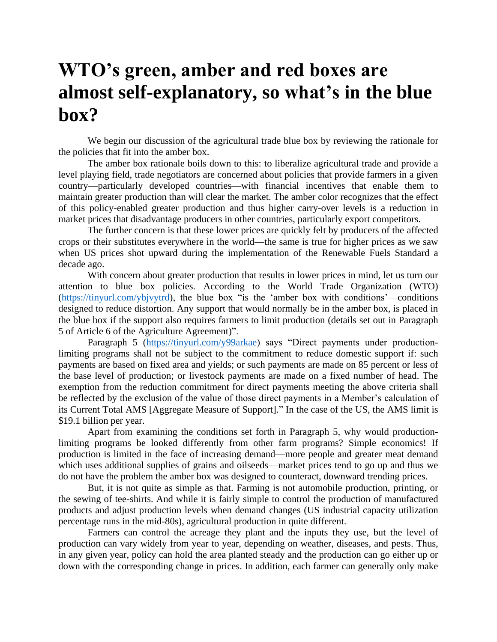## **WTO's green, amber and red boxes are almost self-explanatory, so what's in the blue box?**

We begin our discussion of the agricultural trade blue box by reviewing the rationale for the policies that fit into the amber box.

The amber box rationale boils down to this: to liberalize agricultural trade and provide a level playing field, trade negotiators are concerned about policies that provide farmers in a given country—particularly developed countries—with financial incentives that enable them to maintain greater production than will clear the market. The amber color recognizes that the effect of this policy-enabled greater production and thus higher carry-over levels is a reduction in market prices that disadvantage producers in other countries, particularly export competitors.

The further concern is that these lower prices are quickly felt by producers of the affected crops or their substitutes everywhere in the world—the same is true for higher prices as we saw when US prices shot upward during the implementation of the Renewable Fuels Standard a decade ago.

With concern about greater production that results in lower prices in mind, let us turn our attention to blue box policies. According to the World Trade Organization (WTO) [\(https://tinyurl.com/ybjvytrd\)](https://tinyurl.com/ybjvytrd), the blue box "is the 'amber box with conditions'—conditions designed to reduce distortion. Any support that would normally be in the amber box, is placed in the blue box if the support also requires farmers to limit production (details set out in Paragraph 5 of Article 6 of the Agriculture Agreement)".

Paragraph 5 [\(https://tinyurl.com/y99arkae\)](https://tinyurl.com/y99arkae) says "Direct payments under productionlimiting programs shall not be subject to the commitment to reduce domestic support if: such payments are based on fixed area and yields; or such payments are made on 85 percent or less of the base level of production; or livestock payments are made on a fixed number of head. The exemption from the reduction commitment for direct payments meeting the above criteria shall be reflected by the exclusion of the value of those direct payments in a Member's calculation of its Current Total AMS [Aggregate Measure of Support]." In the case of the US, the AMS limit is \$19.1 billion per year.

Apart from examining the conditions set forth in Paragraph 5, why would productionlimiting programs be looked differently from other farm programs? Simple economics! If production is limited in the face of increasing demand—more people and greater meat demand which uses additional supplies of grains and oilseeds—market prices tend to go up and thus we do not have the problem the amber box was designed to counteract, downward trending prices.

But, it is not quite as simple as that. Farming is not automobile production, printing, or the sewing of tee-shirts. And while it is fairly simple to control the production of manufactured products and adjust production levels when demand changes (US industrial capacity utilization percentage runs in the mid-80s), agricultural production in quite different.

Farmers can control the acreage they plant and the inputs they use, but the level of production can vary widely from year to year, depending on weather, diseases, and pests. Thus, in any given year, policy can hold the area planted steady and the production can go either up or down with the corresponding change in prices. In addition, each farmer can generally only make